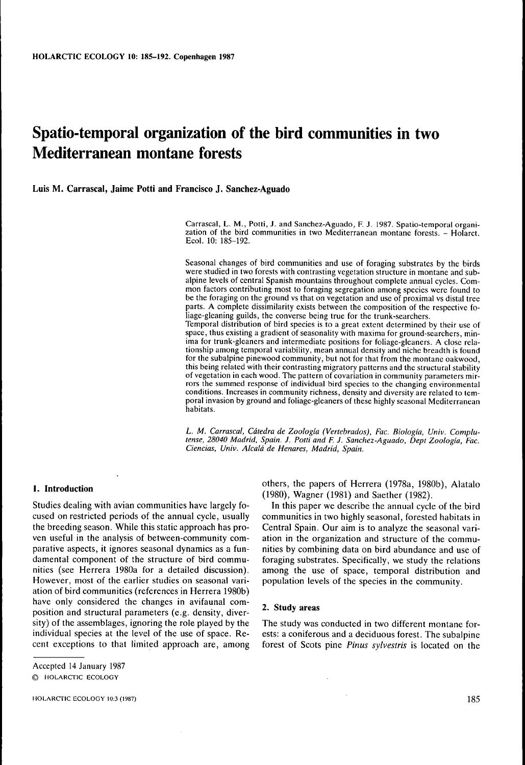# **Spatio-temporal organization of the bird communities in two Mediterranean montane forests**

**Luis M. Carrascal, Jaime Potti and Francisco J. Sanchez-Aguado**

Carrascal, L. M., Potti, J. and Sanchez-Aguado, F. J. 1987. Spatio-temporal organization of the bird communities in two Mediterranean montane forests. - Holarct. Ecol. 10: 185-192.

Seasonal changes of bird communities and use of foraging substrates by the birds were studied in two forests with contrasting vegetation structure in montane and subalpine levels of central Spanish mountains throughout complete annual cycles. Common factors contributing most to foraging segregation among species were found to be the foraging on the ground vs that on vegetation and use of proximal vs distal tree parts. A complete dissimilarity exists between the composition of the respective foliage-gleaning guilds, the converse being true for the trunk-searchers. Temporal distribution of bird species is to a great extent determined by their use of space, thus existing a gradient of seasonality with maxima for ground-searchers, minima for trunk-gleaners and intermediate positions for foliage-gleaners. A close relationship among temporal variability, mean annual density and niche breadth is found for the subalpine pinewood community, but not for that from the montane oakwood, this being related with their contrasting migratory patterns and the structural stability of vegetation in each wood. The pattern of covariation in community parameters mirrors the summed response of individual bird species to the changing environmental conditions. Increases in community richness, density and diversity are related to temporal invasion by ground and foliage-gleaners of these highly seasonal Mediterranean habitats.

L. *M. Carrascal, Cdtedra de Zoologia (Vertebrados), Fac. Biologia, Univ. Complutense, 28040 Madrid, Spain. J. Potti and F. J. Sanchez-Aguado, Dept Zoologia, Fac. Ciencias, Univ. Alcald de Henares, Madrid, Spain.*

Studies dealing with avian communities have largely fo-<br>cused on restricted periods of the annual cycle, usually ation of bird communities (references in Herrera 1980b) have only considered the changes in avifaunal com-<br>neglign and structural aggregators ( $\epsilon$  , density, direction 2. Study areas position and structural parameters (e.g. density, diversity) of the assemblages, ignoring the role played by the individual species at the level of the use of space. Re-<br>cent exceptions to that limited approach are, among forest of Scots pine *Pinus sylvestris* is located on the

**1. Introduction** <sup>others</sup>, the papers of Herrera (1978a, 1980b), Alatalo (1980), Wagner (1981) and Saether (1982).

cused on restricted periods of the annual cycle, usually communities in two highly seasonal, forested habitats in the breeding season. While this static approach has pro-<br>Central Spain. Our aim is to analyze the seasonal v the breeding season. While this static approach has pro-<br>ven useful in the analysis of between-community com-<br>ation in the organization and structure of the commuven useful in the analysis of between-community com-<br>parative aspects, it ignores seasonal dynamics as a fun-<br>parative aspects, it ignores seasonal dynamics as a fun-<br>pities by combining data on bird abundance and use of parative aspects, it ignores seasonal dynamics as a fun- inities by combining data on bird abundance and use of<br>damental component of the structure of bird commu- foraging substrates. Specifically, we study the relations foraging substrates. Specifically, we study the relations nities (see Herrera 1980a for a detailed discussion). among the use of space, temporal distribution and However, most of the earlier studies on seasonal vari-<br>However, most of the earlier studies on seasonal vari- populati population levels of the species in the community.

The study was conducted in two different montane forforest of Scots pine *Pinus sylvestris* is located on the

Accepted 14 January 1987 © HOLARCTIC ECOLOGY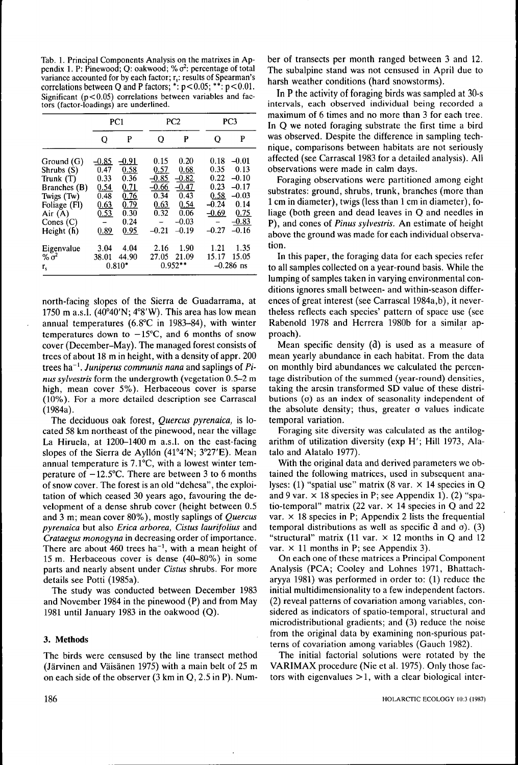Tab. 1. Principal Components Analysis on the matrixes in Appendix 1. P: Pinewood; Q: oakwood; % $\sigma^2$ : percentage of total variance accounted for by each factor; r<sub>s</sub>: results of Spearman's correlations between Q and P factors;  $*: p < 0.05; **: p < 0.01$ . Significant  $(p<0.05)$  correlations between variables and factors (factor-loadings) are underlined.

|                                                                                                                               |                                                               | PC1                                                                     |                                                                       | PC <sub>2</sub>                                                                  |                                                                       | PC3                                                                                    |
|-------------------------------------------------------------------------------------------------------------------------------|---------------------------------------------------------------|-------------------------------------------------------------------------|-----------------------------------------------------------------------|----------------------------------------------------------------------------------|-----------------------------------------------------------------------|----------------------------------------------------------------------------------------|
|                                                                                                                               | о                                                             | P                                                                       | О                                                                     | P                                                                                | O                                                                     | P                                                                                      |
| Ground (G)<br>Shrubs (S)<br>Trunk (T)<br>Branches (B)<br>Twigs (Tw)<br>Foliage (Fl)<br>Air $(A)$<br>Cones $(C)$<br>Height (h) | -0.85<br>0.47<br>0.33<br>0.54<br>0.48<br>0.63<br>0.53<br>0.89 | $-0.91$<br>0.58<br>0.36<br>0.71<br>0.76<br>0.79<br>0.30<br>0.24<br>0.95 | 0.15<br>0.57<br>$-0.85$<br>$-0.66$<br>0.34<br>0.63<br>0.32<br>$-0.21$ | 0.20<br>0.68<br>$-0.82$<br>$-0.47$<br>0.43<br>0.54<br>0.06<br>$-0.03$<br>$-0.19$ | 0.18<br>0.35<br>0.22<br>0.23<br>0.58<br>$-0.24$<br>$-0.69$<br>$-0.27$ | $-0.01$<br>0.13<br>$-0.10$<br>$-0.17$<br>$-0.03$<br>0.14<br>0.75<br>$-0.83$<br>$-0.16$ |
| Eigenvalue<br>% $\sigma^2$<br>г,                                                                                              | 3.04<br>38.01                                                 | 4.04<br>44.90<br>$0.810*$                                               | 2.16<br>27.05                                                         | 1.90<br>21.09<br>$0.952**$                                                       | 1.21<br>15.17                                                         | 1.35<br>15.05<br>$-0.286$ ns                                                           |

north-facing slopes of the Sierra de Guadarrama, at 1750 m a.s.l.  $(40^{\circ}40'N; 4^{\circ}8'W)$ . This area has low mean annual temperatures (6.8 $^{\circ}$ C in 1983-84), with winter temperatures down to  $-15^{\circ}$ C, and 6 months of snow cover (December-May). The managed forest consists of trees of about 18 m in height, with a density of appr. 200 trees ha~'. *Juniperus communis nana* and saplings of *Finus sylvestris* form the undergrowth (vegetation 0.5-2 m high, mean cover 5%). Herbaceous cover is sparse (10%). For a more detailed description see Carrascal (1984a).

The deciduous oak forest, *Quercus pyrenaica,* is located 58 km northeast of the pinewood, near the village La Hiruela, at 1200–1400 m a.s.l. on the east-facing slopes of the Sierra de Ayllón  $(41°4'N; 3°27'E)$ . Mean annual temperature is 7.1°C, with a lowest winter temperature of  $-12.5$ °C. There are between 3 to 6 months of snow cover. The forest is an old "dehesa", the exploitation of which ceased 30 years ago, favouring the development of a dense shrub cover (height between 0.5 and 3 m; mean cover 80%), mostly saplings of *Quercus pyrenaica* but also *Erica arborea, Cistus laurifolius* and *Crataegus monogyna* in decreasing order of importance. There are about 460 trees ha<sup>-1</sup>, with a mean height of 15 m. Herbaceous cover is dense (40-80%) in some parts and nearly absent under *Cistus* shrubs. For more details see Potti (1985a).

The study was conducted between December 1983 and November 1984 in the pinewood (P) and from May 1981 until January 1983 in the oakwood (Q).

### **3. Methods**

The birds were censused by the line transect method (Jarvinen and Vaisanen 1975) with a main belt of 25 m on each side of the observer  $(3 \text{ km in Q}, 2.5 \text{ in P})$ . Number of transects per month ranged between 3 and 12. The subalpine stand was not censused in April due to harsh weather conditions (hard snowstorms).

In P the activity of foraging birds was sampled at 30-s intervals, each observed individual being recorded a maximum of 6 times and no more than 3 for each tree. In Q we noted foraging substrate the first time a bird was observed. Despite the difference in sampling technique, comparisons between habitats are not seriously affected (see Carrascal 1983 for a detailed analysis). All observations were made in calm days.

Foraging observations were partitioned among eight substrates: ground, shrubs, trunk, branches (more than 1 cm in diameter), twigs (less than 1 cm in diameter), foliage (both green and dead leaves in Q and needles in P), and cones of *Finus sylvestris.* An estimate of height above the ground was made for each individual observation.

In this paper, the foraging data for each species refer to all samples collected on a year-round basis. While the lumping of samples taken in varying environmental conditions ignores small between- and within-season differences of great interest (see Carrascal 1984a,b), it nevertheless reflects each species' pattern of space use (see Rabenold 1978 and Herrera 1980b for a similar approach).

Mean specific density (d) is used as a measure of mean yearly abundance in each habitat. From the data on monthly bird abundances we calculated the percentage distribution of the summed (year-round) densities, taking the arcsin transformed SD value of these distributions  $(0)$  as an index of seasonality independent of the absolute density; thus, greater  $\sigma$  values indicate temporal variation.

Foraging site diversity was calculated as the antilogarithm of utilization diversity (exp H'; Hill 1973, Alatalo and Alatalo 1977).

With the original data and derived parameters we obtained the following matrices, used in subsequent analyses: (1) "spatial use" matrix (8 var.  $\times$  14 species in Q and 9 var.  $\times$  18 species in P; see Appendix 1). (2) "spatio-temporal" matrix (22 var.  $\times$  14 species in Q and 22 var.  $\times$  18 species in P; Appendix 2 lists the frequential temporal distributions as well as specific  $d$  and  $\sigma$ ). (3) "structural" matrix (11 var.  $\times$  12 months in O and 12 var.  $\times$  11 months in P; see Appendix 3).

On each one of these matrices a Principal Component Analysis (PCA; Cooley and Lohnes 1971, Bhattacharyya 1981) was performed in order to: (1) reduce the initial multidimensionality to a few independent factors. (2) reveal patterns of covariation among variables, considered as indicators of spatio-temporal, structural and microdistributional gradients; and (3) reduce the noise from the original data by examining non-spurious patterns of covariation among variables (Gauch 1982).

The initial factorial solutions were rotated by the VARIMAX procedure (Nie et al. 1975). Only those factors with eigenvalues  $>1$ , with a clear biological inter-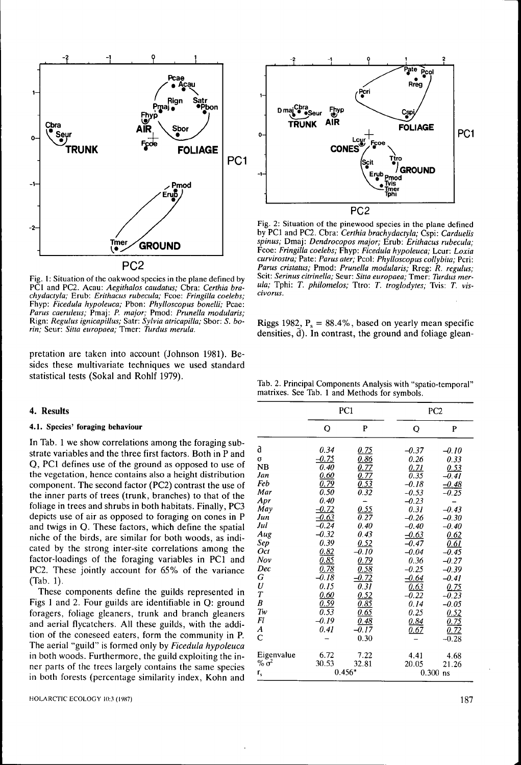

Fig. 1: Situation of the oakwood species in the plane defined by PCI and PC2. Acau: *Aegithalos caudatus;* Cbra: *Certhia brachydactyla;* Erub: *Erithacus rubecula;* Fcoe: *Fringilla coelebs;* Fhyp: *Ficedula hypoleuca;* Pbon: *Phylloscopus bonelli;* Pcae: *Parus caeruleus;* Pmaj: *P. major;* Pmod: *Prunella modutaris;* Rign: *Regulus ignicapillus;* Satr: *Sylvia atricapitla;* Sbor: *S. borin;* Seur: *Sitta europaea;* Tmer: *Turdus merula.*

pretation are taken into account (Johnson 1981). Besides these multivariate techniques we used standard statistical tests (Sokal and Rohlf 1979).

### 4. Results

#### **4.1. Species' foraging behaviour**

In Tab. 1 we show correlations among the foraging substrate variables and the three first factors. Both in P and Q, PCI defines use of the ground as opposed to use of the vegetation, hence contains also a height distribution component. The second factor (PC2) contrast the use of the inner parts of trees (trunk, branches) to that of the foliage in trees and shrubs in both habitats. Finally, PC3 depicts use of air as opposed to foraging on cones in P and twigs in Q. These factors, which define the spatial niche of the birds, are similar for both woods, as indicated by the strong inter-site correlations among the factor-loadings of the foraging variables in PCI and PC2. These jointly account for 65% of the variance (Tab. 1).

These components define the guilds represented in Figs 1 and 2. Four guilds are identifiable in Q: ground foragers, foliage gleaners, trunk and branch gleaners and aerial flycatchers. All these guilds, with the addition of the coneseed eaters, form the community in P. The aerial "guild" is formed only by *Ficedula hypoleuca* in both woods. Furthermore, the guild exploiting the inner parts of the trees largely contains the same species in both forests (percentage similarity index, Kohn and



Fig. 2: Situation of the pinewood species in the plane defined by PCI and PC2. Cbra: *Certhia brachydactyla;* Cspi: *Carduelis spinus;* Dmaj: *Dendrocopos major;* Erub: *Erithacus rubecula;* Fcoe: *Fringilla coelebs;* Fhyp: *Ficedula hypoleuca;* Lcur: *Loxia curvirostra;* Pate: *Parus ater;* Pcol: *Phylloscopus collybita;* Peri: *Partis cristatus;* Pmod: *Prunella modularis;* Rreg: *R. regulus;* Scit: *Serinus citrinetla;* Seur: *Sitta europaea;* Tmer: *Turdus merula;* Tphi: *T. phitomelos;* Ttro: *T. troglodytes;* Tvis: *T. vis-*

Riggs 1982,  $P_1 = 88.4\%$ , based on yearly mean specific densities, d). In contrast, the ground and foliage glean-

Tab. 2. Principal Components Analysis with "spatio-temporal" matrixes. See Tab. 1 and Methods for symbols.

|                  |                   | PC1                                       |                   | PC <sub>2</sub>    |
|------------------|-------------------|-------------------------------------------|-------------------|--------------------|
|                  | Q                 | P                                         | О                 | P                  |
| a                | 0.34              | 0.75                                      | -0.37             | $-0.10$            |
| $\sigma$         | $-0.75$           | <u>0.86</u>                               | 0.26              | 0.33               |
| NB               | 0.40              |                                           | 0.71              | 0.53               |
| Jan              | 0.60              | $\frac{\overline{0.77}}{\overline{0.77}}$ | $\overline{0.35}$ | $-0.41$            |
| Feb              | $\overline{0.79}$ | $\frac{0.53}{0.32}$                       | $-0.18$           | -0.48              |
| Mar              | 0.50              |                                           | $-0.53$           | 0.25               |
| Apr              | 0.40              |                                           | $-0.23$           |                    |
| May              | 0.72              | $\frac{0.55}{0.27}$                       | 0.31              | $-0.43$            |
| Jun              | $-0.63$           |                                           | $-0.26$           | $-0.30$            |
| Jul              | $-0.24$           | 0.40                                      | $-0.40$           | $-0.40$            |
| Aug              | $-0.32$           | 0.43                                      | $-0.63$           | 0.62               |
| Sep              | 0.39              | 0.52                                      | $-0.47$           | 0.61               |
| Oct              | 0.82              | $-0.10$                                   | $-0.04$           | $-0.45$            |
| Nov              | <u>0.85</u>       | <u>0.79</u>                               | 0.36              | $-0.27$            |
| Dec              | 0.78              | <u>0.58</u>                               | $-0.25$           | $-0.39$            |
| G                | 0.18              | $\frac{1}{0.72}$                          | $-0.64$           | -0.41              |
| $\boldsymbol{U}$ | 0.15              | $\overline{0.31}$                         | 0.63              | 0.75               |
| $\overline{T}$   | 0.60              | 0.52                                      | $-0.22$           | $-\overline{0.23}$ |
| B                | <u>0.59</u>       | $\overline{0.85}$                         | 0.14              | $-0.05$            |
| Tw               | $\overline{0.53}$ | 0.65                                      | 0.25              | 0.52               |
| Fl               | $-0.19$           | <u>0.48</u>                               | 0.84              | 0.75               |
| A                | 0.41              | $\overline{0.17}$                         | 0.67              | $\overline{0.72}$  |
| $\overline{C}$   |                   | 0.30                                      |                   | $-0.28$            |
| Eigenvalue       | 6.72              | 7.22                                      | 4.41              | 4.68               |
| $% \sigma^2$     | 30.53             | 32.81                                     | 20.05             | 21.26              |
| $r_{s}$          |                   | $0.456*$                                  | 0.300             | ns                 |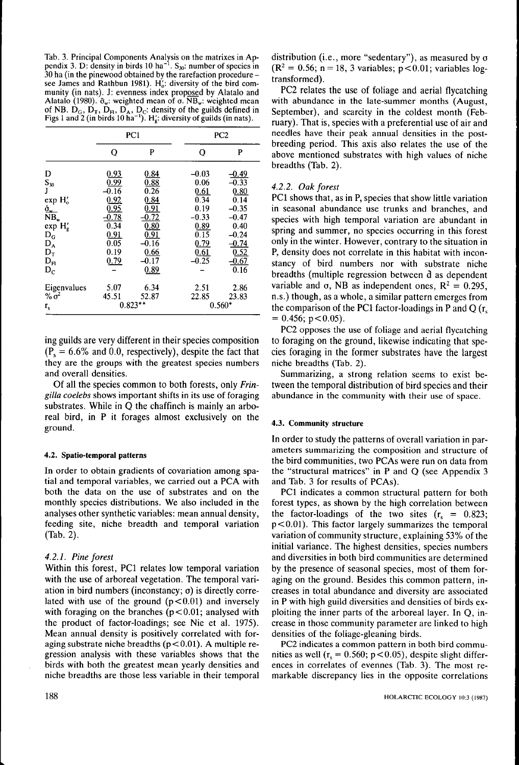Tab. 3. Principal Components Analysis on the matrixes in Appendix 3. D: density in birds 10 ha<sup>-1</sup>.  $S_{30}$ : number of species in 30 ha (in the pinewood obtained by the rarefaction procedure see James and Rathbun 1981).  $H^{\prime}_{0}$ : diversity of the bird community (in nats). J: evenness index proposed by Alatalo and Alatalo (1980).  $\bar{\sigma}_{w}$ : weighted mean of  $\sigma$ . NB<sub>w</sub>: weighted mean of NB.  $D_G$ ,  $D_T$ ,  $D_H$ ,  $D_A$ ,  $D_C$ : density of the guilds defined in Figs 1 and 2 (in birds 10 ha<sup>-1</sup>). H<sub>4</sub>: diversity of guilds (in nats).

|                                                      |                         | PC1                       |                      | PC <sub>2</sub>            |
|------------------------------------------------------|-------------------------|---------------------------|----------------------|----------------------------|
|                                                      | O                       | P                         | Q                    | P                          |
| D<br>$S_{30}$                                        | 0.93<br>0.99            | 0.84<br>0.88              | $-0.03$<br>0.06      | $-0.49$<br>$-0.33$         |
| J<br>exp H <sub>o</sub>                              | $-0.16$<br>0.92<br>0.95 | 0.26<br>0.84<br>0.91      | 0.61<br>0.34<br>0.19 | 0.80<br>0.14<br>$-0.35$    |
| $\frac{\tilde{\sigma}_{w}}{NB_{w}}$<br>$\exp H'_{g}$ | 0.78<br>0.34            | $\overline{0.72}$<br>0.80 | $-0.33$<br>0.89      | $-0.47$<br>0.40            |
| $D_G$<br>$D_A$<br>$D_T$                              | 0.91<br>0.05<br>0.19    | 0.91<br>0.16<br>0.66      | 0.15<br>0.79<br>0.61 | $-0.24$<br>$-0.74$<br>0.52 |
| $D_{\rm Fl}$<br>$D_{C}$                              | 0.79                    | $-0.17$<br>0.89           | $-0.25$              | $-\overline{0.67}$<br>0.16 |
| Eigenvalues<br>$\% \sigma^2$                         | 5.07<br>45.51           | 6.34<br>52.87             | 2.51<br>22.85        | 2.86<br>23.83              |
| $r_{s}$                                              |                         | $0.823**$                 |                      | $0.560*$                   |

ing guilds are very different in their species composition  $(P_{\rm s} = 6.6\%$  and 0.0, respectively), despite the fact that they are the groups with the greatest species numbers and overall densities.

Of all the species common to both forests, only *Fringilla coelebs* shows important shifts in its use of foraging substrates. While in Q the chaffinch is mainly an arboreal bird, in P it forages almost exclusively on the ground.

#### 4.2. Spatio-temporal patterns

In order to obtain gradients of covariation among spatial and temporal variables, we carried out a PCA with both the data on the use of substrates and on the monthly species distributions. We also included in the analyses other synthetic variables: mean annual density, feeding site, niche breadth and temporal variation (Tab. 2).

## *4.2.1. Pine forest*

Within this forest, PCI relates low temporal variation with the use of arboreal vegetation. The temporal variation in bird numbers (inconstancy;  $\sigma$ ) is directly correlated with use of the ground  $(p<0.01)$  and inversely with foraging on the branches  $(p<0.01$ ; analysed with the product of factor-loadings; see Nie et al. 1975). Mean annual density is positively correlated with foraging substrate niche breadths ( $p < 0.01$ ). A multiple regression analysis with these variables shows that the birds with both the greatest mean yearly densities and niche breadths are those less variable in their temporal distribution (i.e., more "sedentary"), as measured by  $\sigma$  $(R^2 = 0.56; n = 18, 3$  variables; p<0.01; variables logtransformed).

PC2 relates the use of foliage and aerial flycatching with abundance in the late-summer months (August, September), and scarcity in the coldest month (February). That is, species with a preferential use of air and needles have their peak annual densities in the postbreeding period. This axis also relates the use of the above mentioned substrates with high values of niche breadths (Tab. 2).

# *4.2.2. Oak forest*

PCI shows that, as in P, species that show little variation in seasonal abundance use trunks and branches, and species with high temporal variation are abundant in spring and summer, no species occurring in this forest only in the winter. However, contrary to the situation in P, density does not correlate in this habitat with inconstancy of bird numbers nor with substrate niche breadths (multiple regression between d as dependent variable and  $\sigma$ , NB as independent ones,  $R^2 = 0.295$ , n.s.) though, as a whole, a similar pattern emerges from the comparison of the PC1 factor-loadings in P and Q  $(r_s)$  $= 0.456$ ; p $< 0.05$ ).

PC2 opposes the use of foliage and aerial flycatching to foraging on the ground, likewise indicating that species foraging in the former substrates have the largest niche breadths (Tab. 2).

Summarizing, a strong relation seems to exist between the temporal distribution of bird species and their abundance in the community with their use of space.

# 4.3. Community structure

In order to study the patterns of overall variation in parameters summarizing the composition and structure of the bird communities, two PCAs were run on data from the "structural matrices" in P and Q (see Appendix 3 and Tab. 3 for results of PCAs).

PCI indicates a common structural pattern for both forest types, as shown by the high correlation between the factor-loadings of the two sites  $(r_s = 0.823)$ ;  $p<0.01$ ). This factor largely summarizes the temporal variation of community structure, explaining 53% of the initial variance. The highest densities, species numbers and diversities in both bird communities are determined by the presence of seasonal species, most of them foraging on the ground. Besides this common pattern, increases in total abundance and diversity are associated in P with high guild diversities and densities of birds exploiting the inner parts of the arboreal layer. In Q, increase in those community parameter are linked to high densities of the foliage-gleaning birds.

PC2 indicates a common pattern in both bird communities as well ( $r_s = 0.560$ ; p<0.05), despite slight differences in correlates of evennes (Tab. 3). The most remarkable discrepancy lies in the opposite correlations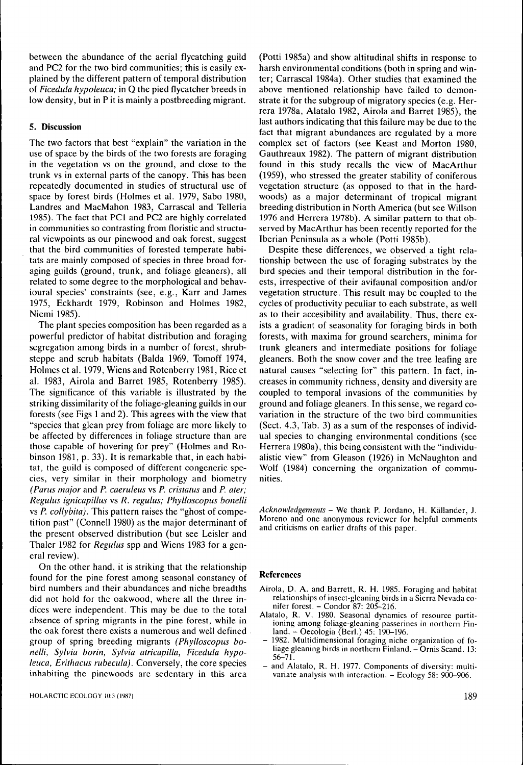between the abundance of the aerial flycatching guild and PC2 for the two bird communities; this is easily explained by the different pattern of temporal distribution of *Ficedula hypoleuca;* in Q the pied flycatcher breeds in low density, but in P it is mainly a postbreeding migrant.

#### **5. Discussion**

The two factors that best "explain" the variation in the use of space by the birds of the two forests are foraging in the vegetation vs on the ground, and close to the trunk vs in external parts of the canopy. This has been repeatedly documented in studies of structural use of space by forest birds (Holmes et al. 1979, Sabo 1980, Landres and MacMahon 1983, Carrascal and Telleria 1985). The fact that PCI and PC2 are highly correlated in communities so contrasting from floristic and structural viewpoints as our pinewood and oak forest, suggest that the bird communities of forested temperate habitats are mainly composed of species in three broad foraging guilds (ground, trunk, and foliage gleaners), all related to some degree to the morphological and behavioural species' constraints (see, e.g., Karr and James 1975, Eckhardt 1979, Robinson and Holmes 1982, Niemi 1985).

The plant species composition has been regarded as a powerful predictor of habitat distribution and foraging segregation among birds in a number of forest, shrubsteppe and scrub habitats (Balda 1969, Tomoff 1974, Holmes et al. 1979, Wiens and Rotenberry 1981, Rice et al. 1983, Airola and Barret 1985, Rotenberry 1985). The significance of this variable is illustrated by the striking dissimilarity of the foliage-gleaning guilds in our forests (see Figs 1 and 2). This agrees with the view that "species that glean prey from foliage are more likely to be affected by differences in foliage structure than are those capable of hovering for prey" (Holmes and Robinson 1981, p. 33). It is remarkable that, in each habitat, the guild is composed of different congeneric species, very similar in their morphology and biometry *(Parus major* and *P. caeruleus* vs *P. cristatus* and *P. ater; Regulus ignicapillus* vs *R. regulus; Phylloscopus bonelli* vs *P. collybita).* This pattern raises the "ghost of competition past" (Connell 1980) as the major determinant of the present observed distribution (but see Leisler and Thaler 1982 for *Regulus* spp and Wiens 1983 for a general review).

On the other hand, it is striking that the relationship found for the pine forest among seasonal constancy of bird numbers and their abundances and niche breadths did not hold for the oakwood, where all the three indices were independent. This may be due to the total absence of spring migrants in the pine forest, while in the oak forest there exists a numerous and well defined group of spring breeding migrants *(Phylloscopus bonelli, Sylvia borin, Sylvia atricapilla, Ficedula hypoleuca, Erithacus rubecula).* Conversely, the core species inhabiting the pinewoods are sedentary in this area

(Potti 1985a) and show altitudinal shifts in response to harsh environmental conditions (both in spring and winter; Carrascal 1984a). Other studies that examined the above mentioned relationship have failed to demonstrate it for the subgroup of migratory species (e.g. Herrera 1978a, Alatalo 1982, Airola and Barret 1985), the last authors indicating that this failure may be due to the fact that migrant abundances are regulated by a more complex set of factors (see Keast and Morton 1980, Gauthreaux 1982). The pattern of migrant distribution found in this study recalls the view of MacArthur (1959), who stressed the greater stability of coniferous vegetation structure (as opposed to that in the hardwoods) as a major determinant of tropical migrant breeding distribution in North America (but see Willson 1976 and Herrera 1978b). A similar pattern to that observed by MacArthur has been recently reported for the Iberian Peninsula as a whole (Potti 1985b).

Despite these differences, we observed a tight relationship between the use of foraging substrates by the bird species and their temporal distribution in the forests, irrespective of their avifaunal composition and/or vegetation structure. This result may be coupled to the cycles of productivity peculiar to each substrate, as well as to their accesibiiity and availability. Thus, there exists a gradient of seasonality for foraging birds in both forests, with maxima for ground searchers, minima for trunk gleaners and intermediate positions for foliage gleaners. Both the snow cover and the tree leafing are natural causes "selecting for" this pattern. In fact, increases in community richness, density and diversity are coupled to temporal invasions of the communities by ground and foliage gleaners. In this sense, we regard covariation in the structure of the two bird communities (Sect. 4.3, Tab. 3) as a sum of the responses of individual species to changing environmental conditions (see Herrera 1980a), this being consistent with the "individualistic view" from Gleason (1926) in McNaughton and Wolf (1984) concerning the organization of communities.

*Acknowledgements -* We thank P. Jordano, H. Kallander, J. Moreno and one anonymous reviewer for helpful comments and criticisms on earlier drafts of this paper.

#### **References**

- Airola, D. A. and Barrett, R. H. 1985. Foraging and habitat relationships of insect-gleaning birds in a Sierra Nevada conifer forest. - Condor 87: 205-216.
- Alatalo, R. V. 1980. Seasonal dynamics of resource partitioning among foliage-gleaning passerines in northern Finland. - Oecologia (Berl.) 45: 190-196.
- 1982. Multidimensional foraging niche organization of foliage gleaning birds in northern Finland. - Ornis Scand. 13: 56-71.
- and Alatalo, R. H. 1977. Components of diversity: multivariate analysis with interaction.  $-$  Ecology 58: 900-906.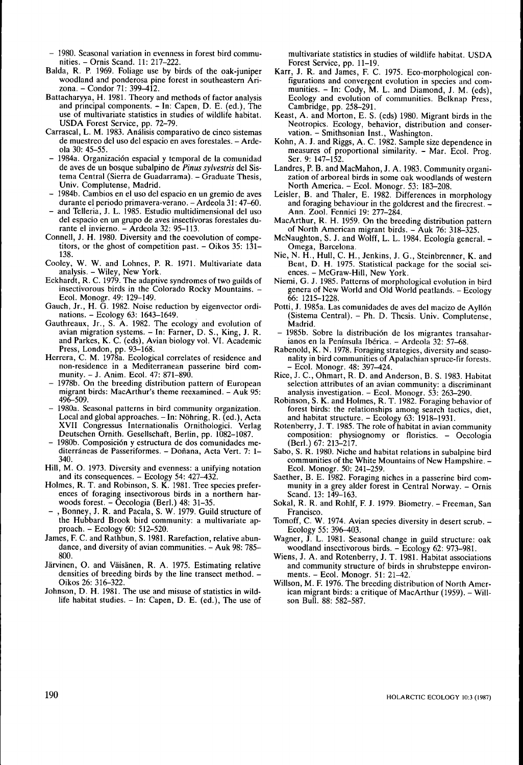- 1980. Seasonal variation in evenness in forest bird communities, - Ornis Scand, 11: 217-222,
- Balda, R, P, 1969, Foliage use by birds of the oak-juniper woodland and ponderosa pine forest in southeastern Arizona, - Condor 71: 399-412,
- Battacharyya, H, 1981, Theory and methods of factor analysis and principal components, - In: Capen, D, E, (ed,). The use of multivariate statistics in studies of wildlife habitat, USDA Forest Service, pp, 72-79,
- Carrascal, L, M, 1983, Analisis comparativo de cinco sistemas de muestreo del uso del espacio en aves forestales. - Ardeola 30: 45-55,
- 1984a, Organizacidn espacial y temporal de la comunidad de aves de un bosque subalpino de *Pinus sylvestris* del Sistema Central (Sierra de Guadarrama). - Graduate Thesis, Univ, Compiutense, Madrid,
- 1984b. Cambios en el uso del espacio en un gremio de aves durante el periodo primavera-verano. - Ardeola 31: 47-60.
- and Telleria, J. L. 1985. Estudio multidimensional del uso del espacio en un grupo de aves insectivoras forestales durante el invierno. - Ardeola 32: 95-113.
- Connell, J, H, 1980, Diversity and the coevolution of competitors, or the ghost of competition past.  $-$  Oikos 35: 131– 138,
- Cooley, W, W, and Lohnes, P, R, 1971, Multivariate data analysis, - Wiley, New York,
- Eckhardt, R, C, 1979, The adaptive syndromes of two guilds of insectivorous birds in the Colorado Rocky Mountains. -Ecol, Monogr, 49: 129-149,
- Gauch, Jr,, H, G, 1982, Noise reduction by eigenvector ordinations, - Ecology 63: 1643-1649,
- Gauthreaux, Jr,, S, A, 1982, The ecology and evolution of avian migration systems. - In: Farner, D. S., King, J. R. and Parkes, K. C. (eds), Avian biology vol. VI. Academic Press, London, pp. 93-168.
- Herrera, C, M, 1978a, Ecological correlates of residence and non-residence in a Mediterranean passerine bird community, - J, Anim, Ecol, 47: 871-890,
- 1978b. On the breeding distribution pattern of European migrant birds: MacArthur's theme reexamined. - Auk 95: 496-509,
- 1980a, Seasonal patterns in bird community organization. Local and global approaches. - In: Nöhring, R. (ed.), Acta XVII Congressus Internationalis Ornithologici, Verlag Deutschen Ornith, Gesellschaft, Berlin, pp, 1082-1087,
- 1980b, Composici6n y estruetura de dos comunidades mediterráneas de Passeriformes. - Doñana, Acta Vert. 7: 1-340,
- Hill, M, O, 1973, Diversity and evenness: a unifying notation and its consequences. - Ecology 54: 427-432.
- Holmes, R. T. and Robinson, S. K. 1981. Tree species preferences of foraging insectivorous birds in a northern harwoods forest. - Oecologia (Berl.) 48: 31-35.
- , Bonney, J. R. and Pacala, S. W. 1979. Guild structure of the Hubbard Brook bird community: a multivariate approach, - Ecology 60: 512-520,
- James, F, C, and Rathbun, S, 1981, Rarefaction, relative abundance, and diversity of avian communities. - Auk 98: 785-800,
- Järvinen, O. and Väisänen, R. A. 1975. Estimating relative densities of breeding birds by the line transect method. -Oikos 26: 316-322,
- Johnson, D, H, 1981, The use and misuse of statistics in wildlife habitat studies. - In: Capen, D. E. (ed.), The use of

multivariate statistics in studies of wildlife habitat, USDA Forest Service, pp, 11-19,

- Karr, J. R. and James, F. C. 1975. Eco-morphological configurations and convergent evolution in species and communities. - In: Cody, M. L. and Diamond, J. M. (eds), Ecology and evolution of communities, Belknap Press, Cambridge, pp, 258-291,
- Keast, A, and Morton, E, S, (eds) 1980, Migrant birds in the Neotropics, Ecology, behavior, distribution and conservation. - Smithsonian Inst., Washington.
- Kohn, A, J, and Riggs, A, C, 1982, Sample size dependence in measures of proportional similarity. - Mar, Ecol, Prog, Ser, 9: 147-152,
- Landres, P, B, and MacMahon, J, A, 1983, Community organization of arboreal birds in some oak woodlands of western North America. – Ecol. Monogr. 53: 183–208.
- Leisler, B, and Thaler, E, 1982, Differences in morphology and foraging behaviour in the goldcrest and the firecrest, - Ann, Zool, Fennici 19: 277-284,
- MacArthur, R, H, 1959, On the breeding distribution pattern of North American migrant birds, - Auk 76: 318-325,
- McNaughton, S. J. and Wolff, L. L. 1984. Ecología general. -Omega, Barcelona,
- Nie, N, H,, Hull, C, H,, Jenkins, J, G,, Steinbrenner, K, and Bent, D, H, 1975, Statistical package for the social sciences. - McGraw-Hill, New York.
- Niemi, G, J, 1985, Patterns of morphological evolution in bird genera of New World and Old World peatlands, - Ecology 66: 1215-1228,
- Potti, J, 1985a, Las comunidades de aves del macizo de Ayll6n (Sistema Central), - Ph, D, Thesis, Univ, Compiutense, Madrid,
- 1985b. Sobre la distribución de los migrantes transaharianos en la Península Ibérica. - Ardeola 32: 57-68.
- Rabenold, K, N, 1978, Foraging strategies, diversity and seasonality in bird communities of Apalachian spruce-fir forests, - Ecol, Monogr, 48: 397-424,
- Rice, J, C, Ohmart, R, D, and Anderson, B, S, 1983, Habitat selection attributes of an avian community: a discriminant analysis investigation. - Ecol. Monogr. 53: 263-290.
- Robinson, S, K, and Holmes, R, T, 1982, Foraging behavior of forest birds: the relationships among search tactics, diet, and habitat structure. - Ecology 63: 1918-1931.
- Rotenberry, J, T, 1985, The role of habitat in avian community composition: physiognomy or floristics. - Oecologia (Berl,) 67: 213-217,
- Sabo, S, R, 1980, Niche and habitat relations in subalpine bird communities of the White Mountains of New Hampshire. -Ecol, Monogr, 50: 241-259,
- Saether, B, E, 1982, Foraging niches in a passerine bird community in a grey alder forest in Central Norway. - Ornis Scand, 13: 149-163,
- Sokal, R. R. and Rohlf, F. J. 1979. Biometry. Freeman, San Francisco,
- Tomoff, C. W. 1974. Avian species diversity in desert scrub. -Ecology 55: 396-403,
- Wagner, J. L. 1981. Seasonal change in guild structure: oak woodland insectivorous birds, - Ecology 62: 973-981,
- Wiens, J. A. and Rotenberry, J. T. 1981. Habitat associations and community structure of birds in shrubsteppe environments. - Ecol. Monogr. 51: 21-42.
- Willson, M, F, 1976, The breeding distribution of North American migrant birds: a critique of MacArthur (1959). - Willson Bull, 88: 582-587,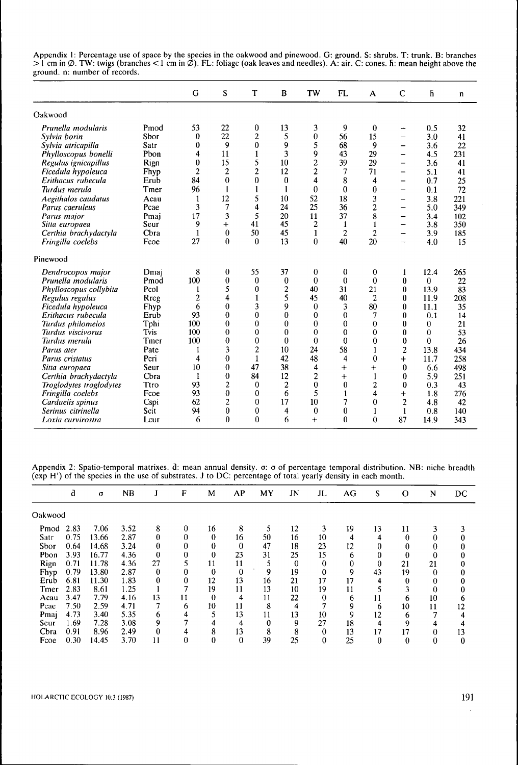Appendix 1: Percentage use of space by the species in the oakwood and pinewood, G: ground, S: shrubs, T: trunk, B: branches >1 cm in Ø. TW: twigs (branches <1 cm in Ø). FL: foliage (oak leaves and needles). A: air. C: cones. h: mean height above the ground, n: number of records.

|                         |      | G              | S              | T              | B                | TW                      | <b>FL</b>      | A                | $\mathbf C$              | ĥ        | n   |
|-------------------------|------|----------------|----------------|----------------|------------------|-------------------------|----------------|------------------|--------------------------|----------|-----|
| Oakwood                 |      |                |                |                |                  |                         |                |                  |                          |          |     |
| Prunella modularis      | Pmod | 53             | 22             | 0              | 13               | 3                       | 9              | $\bf{0}$         |                          | 0.5      | 32  |
| Sylvia borin            | Sbor | $\bf{0}$       | 22             | 2              | 5                | $\bf{0}$                | 56             | 15               | -                        | 3.0      | 41  |
| Sylvia atricapilla      | Satr | 0              | 9              | $\bf{0}$       | 9                | 5                       | 68             | 9                | —                        | 3.6      | 22  |
| Phylloscopus bonelli    | Phon | 4              | 11             | 1              | 3                | 9                       | 43             | 29               | —                        | 4.5      | 231 |
| Regulus ignicapillus    | Rign | $\bf{0}$       | 15             | 5              | 10               | $\overline{c}$          | 39             | 29               | -                        | 3.6      | 41  |
| Ficedula hypoleuca      | Fhyp | $\overline{2}$ | $\overline{2}$ | $\overline{c}$ | 12               | $\overline{c}$          | 7              | 71               | —                        | 5.1      | 41  |
| Erithacus rubecula      | Erub | 84             | $\bf{0}$       | $\bf{0}$       | $\bf{0}$         | 4                       | 8              | 4                | -                        | 0.7      | 25  |
| Turdus merula           | Tmer | 96             | 1              | $\mathbf{1}$   | $\mathbf{1}$     | $\mathbf{0}$            | $\bf{0}$       | $\bf{0}$         | —                        | 0.1      | 72  |
| Aegithalos caudatus     | Acau | $\mathbf{1}$   | 12             | 5              | 10               | 52                      | 18             | 3                | -                        | 3.8      | 221 |
| Parus caeruleus         | Pcae | 3              | 7              | 4              | 24               | 25                      | 36             | 2                | $\overline{\phantom{0}}$ | 5.0      | 349 |
| Parus major             | Pmai | 17             | 3              | 5              | 20               | 11                      | 37             | 8                | $\overline{\phantom{0}}$ | 3.4      | 102 |
| Sitta europaea          | Seur | 9              | $\ddot{}$      | 41             | 45               | 2                       | 1              | 1                | -                        | 3.8      | 350 |
| Certhia brachydactyla   | Chra | $\mathbf{1}$   | $\bf{0}$       | 50             | 45               | 1                       | $\overline{c}$ | $\overline{c}$   | -                        | 3.9      | 185 |
| Fringilla coelebs       | Fcoe | 27             | $\mathbf{0}$   | $\theta$       | 13               | $\bf{0}$                | 40             | 20               |                          | 4.0      | 15  |
| Pinewood                |      |                |                |                |                  |                         |                |                  |                          |          |     |
| Dendrocopos major       | Dmaj | 8              | 0              | 55             | 37               | 0                       | 0              | $\boldsymbol{0}$ | 1                        | 12.4     | 265 |
| Prunella modularis      | Pmod | 100            | 0              | $\theta$       | $\boldsymbol{0}$ | 0                       | $\bf{0}$       | $\theta$         | $\bf{0}$                 | 0        | 22  |
| Phylloscopus collybita  | Pcol | 1              | 5              | $\theta$       | 2                | 40                      | 31             | 21               | $\bf{0}$                 | 13.9     | 83  |
| Regulus regulus         | Rreg | $\overline{c}$ | 4              | $\mathbf{1}$   | 5                | 45                      | 40             | $\overline{c}$   | 0                        | 11.9     | 208 |
| Ficedula hypoleuca      | Fhyp | 6              | $\bf{0}$       | 3              | 9                | 0                       | 3              | 80               | $\bf{0}$                 | 11.1     | 35  |
| Erithacus rubecula      | Erub | 93             | 0              | $\bf{0}$       | $\bf{0}$         | 0                       | $\bf{0}$       | 7                | $\bf{0}$                 | 0.1      | 14  |
| Turdus philomelos       | Tphi | 100            | 0              | 0              | 0                | 0                       | $\bf{0}$       | 0                | $\bf{0}$                 | 0        | 21  |
| Turdus viscivorus       | Tvis | 100            | 0              | $\theta$       | 0                | $\theta$                | $\bf{0}$       | 0                | $\bf{0}$                 | 0        | 53  |
| Turdus merula           | Tmer | 100            | 0              | $\mathbf{0}$   | $\boldsymbol{0}$ | $\bf{0}$                | $\theta$       | $\bf{0}$         | $\bf{0}$                 | $\bf{0}$ | 26  |
| Parus ater              | Pate | 1              | 3              | $\overline{c}$ | 10               | 24                      | 58             | 1                | $\overline{2}$           | 13.8     | 434 |
| Parus cristatus         | Pcri | 4              | 0              | $\mathbf{1}$   | 42               | 48                      | 4              | $\bf{0}$         | $\ddot{}$                | 11.7     | 258 |
| Sitta europaea          | Seur | 10             | $\bf{0}$       | 47             | 38               | 4                       | $\ddot{}$      | $\ddot{}$        | 0                        | 6.6      | 498 |
| Certhia brachydactyla   | Cbra | 1              | 0              | 84             | 12               | $\overline{\mathbf{c}}$ | $+$            | 1                | 0                        | 5.9      | 251 |
| Troglodytes troglodytes | Ttro | 93             | 2              | $\bf{0}$       | $\boldsymbol{2}$ | $\bf{0}$                | $\bf{0}$       | 2                | 0                        | 0.3      | 43  |
| Fringilla coelebs       | Fcoe | 93             | 0              | 0              | 6                | 5                       | 1              | 4                | $\ddot{}$                | 1.8      | 276 |
| Carduelis spinus        | Cspi | 62             | 2              | 0              | 17               | 10                      | 7              | 0                | 2                        | 4.8      | 42  |
| Serinus citrinella      | Scit | 94             | $\bf{0}$       | 0              | 4                | $\theta$                | $\bf{0}$       |                  | 1                        | 0.8      | 140 |
| Loxia curvirostra       | Lcur | 6              | $\mathbf{0}$   | $\mathbf{0}$   | 6                | $+$                     | $\mathbf{0}$   | $\theta$         | 87                       | 14.9     | 343 |

Appendix 2: Spatio-temporal matrixes, d: mean annual density, o: o of percentage temporal distribution, NB: niche breadth (exp H') of the species in the use of substrates, J to DC: percentage of total yearly density in each month.

|         | a    | $\sigma$ | NB   | J  | F  | M            | AP       | MY | JN       | JL | AG | S  | $\Omega$ | N        | DC |
|---------|------|----------|------|----|----|--------------|----------|----|----------|----|----|----|----------|----------|----|
| Oakwood |      |          |      |    |    |              |          |    |          |    |    |    |          |          |    |
| Pmod    | 2.83 | 7.06     | 3.52 | 8  | 0  | 16           | 8        |    | 12       | 3  | 19 | 13 | 11       |          |    |
| Satr    | 0.75 | 13.66    | 2.87 | 0  |    | $\bf{0}$     | 16       | 50 | 16       | 10 | 4  | 4  | 0        |          |    |
| Sbor    | 0.64 | 14.68    | 3.24 | 0  |    | 0            | $\Omega$ | 47 | 18       | 23 | 12 |    |          |          |    |
| Pbon    | 3.93 | 16.77    | 4.36 | 0  |    | $\bf{0}$     | 23       | 31 | 25       | 15 | 6  |    | 0        |          |    |
| Rign    | 0.71 | 11.78    | 4.36 | 27 |    | 11           | 11       |    | $\theta$ | 0  | 0  | 0  | 21       | 21       |    |
| Fhyp    | 0.79 | 13.80    | 2.87 | 0  |    | $\bf{0}$     | $\bf{0}$ | 9  | 19       | 0  | 9  | 43 | 19       | $\Omega$ |    |
| Erub    | 6.81 | 11.30    | 1.83 | 0  |    | 12           | 13       | 16 | 21       | 17 | 17 | 4  | 0        | 0        |    |
| Tmer    | 2.83 | 8.61     | 1.25 |    |    | 19           | 11       | 13 | 10       | 19 | 11 |    |          | 0        |    |
| Acau    | 3.47 | 7.79     | 4.16 | 13 | 11 | $\mathbf{0}$ | 4        | 11 | 22       | 0  | 6  | 11 | 6        | 10       | 6  |
| Pcae    | 7.50 | 2.59     | 4.71 |    | 6  | 10           | 11       | 8  | 4        |    | 9  | 6  | 10       | 11       | 12 |
| Pmaj    | 4.73 | 3.40     | 5.35 | 0  |    | 5            | 13       | 11 | 13       | 10 | 9  | 12 | 6        |          |    |
| Seur    | 1.69 | 7.28     | 3.08 | 9  |    | 4            | 4        | 0  | 9        | 27 | 18 | 4  | 9        |          |    |
| Cbra    | 0.91 | 8.96     | 2.49 | 0  |    | 8            | 13       | 8  | 8        | 0  | 13 | 17 | 17       |          | 13 |
| Fcoe    | 0.30 | 14.45    | 3.70 |    |    | 0            | 0        | 39 | 25       | 0  | 25 | 0  |          | 0        | 0  |